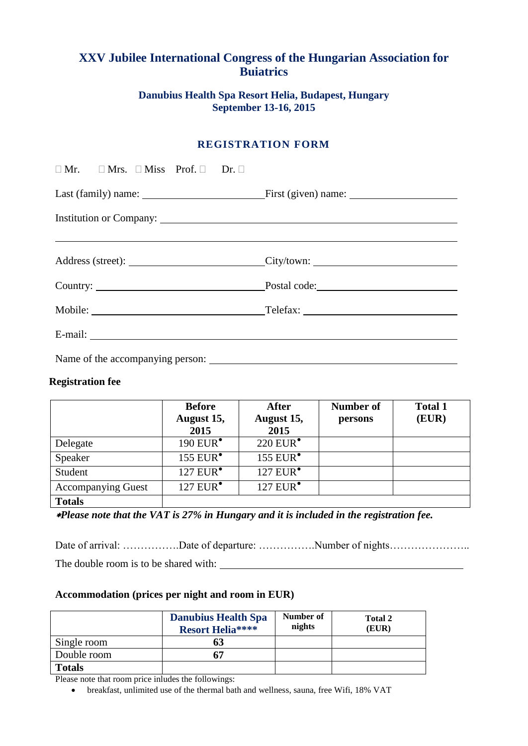# **XXV Jubilee International Congress of the Hungarian Association for Buiatrics**

## **Danubius [Health Spa Resort Helia,](http://www.danubiushotels.hu/szallodak-budapest/danubius-health-spa-resort-helia?sid=3ra3bc1k5tq5cmjoo6thfqfqj5) Budapest, Hungary September 13-16, 2015**

## **REGISTRATION FORM**

| $\Box$ Mr. $\Box$ Mrs. $\Box$ Miss Prof. $\Box$ Dr. $\Box$ |                              |  |  |  |
|------------------------------------------------------------|------------------------------|--|--|--|
|                                                            |                              |  |  |  |
|                                                            |                              |  |  |  |
|                                                            |                              |  |  |  |
|                                                            | Address (street): City/town: |  |  |  |
|                                                            |                              |  |  |  |
|                                                            |                              |  |  |  |
|                                                            |                              |  |  |  |
|                                                            |                              |  |  |  |

#### **Registration fee**

|                           | <b>Before</b><br>August 15,<br>2015 | <b>After</b><br>August 15,<br>2015 | Number of<br>persons | <b>Total 1</b><br>(EUR) |
|---------------------------|-------------------------------------|------------------------------------|----------------------|-------------------------|
| Delegate                  | 190 EUR $^{\bullet}$                | $220$ EUR $^{\bullet}$             |                      |                         |
| Speaker                   | 155 $EUR^{\bullet}$                 | 155 EUR <sup>•</sup>               |                      |                         |
| Student                   | 127 EUR $^{\bullet}$                | $127$ EUR $\bullet$                |                      |                         |
| <b>Accompanying Guest</b> | 127 EUR <sup>•</sup>                | 127 EUR <sup>•</sup>               |                      |                         |
| <b>Totals</b>             |                                     |                                    |                      |                         |

*Please note that the VAT is 27% in Hungary and it is included in the registration fee.*

Date of arrival: ………………Date of departure: ………………Number of nights……………………………………………

The double room is to be shared with:

#### **Accommodation (prices per night and room in EUR)**

|               | <b>Danubius Health Spa</b><br><b>Resort Helia****</b> | Number of<br>nights | Total 2<br>(EUR) |
|---------------|-------------------------------------------------------|---------------------|------------------|
| Single room   |                                                       |                     |                  |
| Double room   |                                                       |                     |                  |
| <b>Totals</b> |                                                       |                     |                  |

Please note that room price inludes the followings:

breakfast, unlimited use of the thermal bath and wellness, sauna, free Wifi, 18% VAT